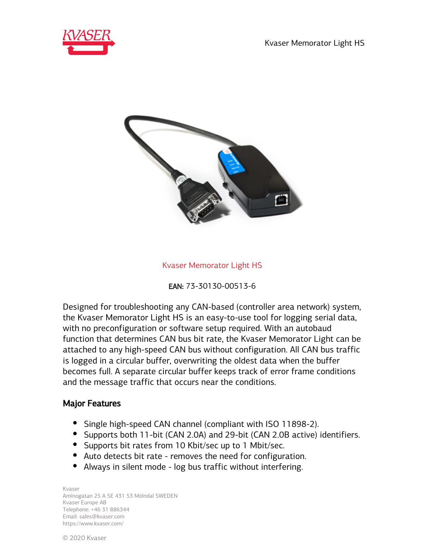



#### Kvaser Memorator Light HS



Designed for troubleshooting any CAN-based (controller area network) system, the Kvaser Memorator Light HS is an easy-to-use tool for logging serial data, with no preconfiguration or software setup required. With an autobaud function that determines CAN bus bit rate, the Kvaser Memorator Light can be attached to any high-speed CAN bus without configuration. All CAN bus traffic is logged in a circular buffer, overwriting the oldest data when the buffer becomes full. A separate circular buffer keeps track of error frame conditions and the message traffic that occurs near the conditions.

#### Major Features

- Single high-speed CAN channel (compliant with ISO 11898-2).
- Supports both 11-bit (CAN 2.0A) and 29-bit (CAN 2.0B active) identifiers.
- Supports bit rates from 10 Kbit/sec up to 1 Mbit/sec.
- Auto detects bit rate removes the need for configuration.
- Always in silent mode log bus traffic without interfering.

Kvaser Aminogatan 25 A SE 431 53 Mölndal SWEDEN Kvaser Europe AB Telephone: +46 31 886344 Email: sales@kvaser.com https://www.kvaser.com/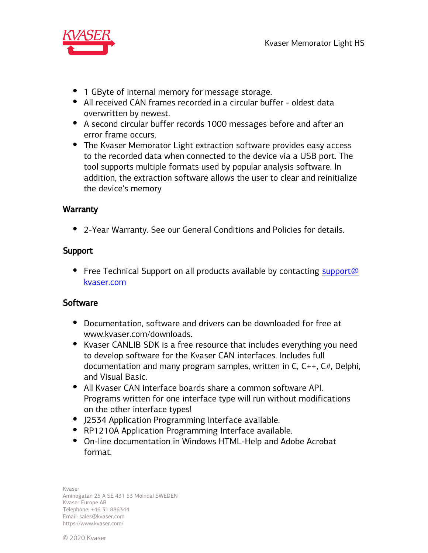

- 1 GByte of internal memory for message storage.
- All received CAN frames recorded in a circular buffer oldest data overwritten by newest.
- A second circular buffer records 1000 messages before and after an error frame occurs.
- The Kvaser Memorator Light extraction software provides easy access to the recorded data when connected to the device via a USB port. The tool supports multiple formats used by popular analysis software. In addition, the extraction software allows the user to clear and reinitialize the device's memory

# **Warranty**

2-Year Warranty. See our General Conditions and Policies for details.

# Support

• Free Technical Support on all products available by contacting support@ kvaser.com

# **Software**

- Documentation, software and drivers can be downloaded for free at www.kvaser.com/downloads.
- Kvaser CANLIB SDK is a free resource that includes everything you need to develop software for the Kvaser CAN interfaces. Includes full documentation and many program samples, written in C, C++, C#, Delphi, and Visual Basic.
- All Kvaser CAN interface boards share a common software API. Programs written for one interface type will run without modifications on the other interface types!
- J2534 Application Programming Interface available.
- RP1210A Application Programming Interface available.
- On-line documentation in Windows HTML-Help and Adobe Acrobat format.

Kvaser Aminogatan 25 A SE 431 53 Mölndal SWEDEN Kvaser Europe AB Telephone: +46 31 886344 Email: sales@kvaser.com https://www.kvaser.com/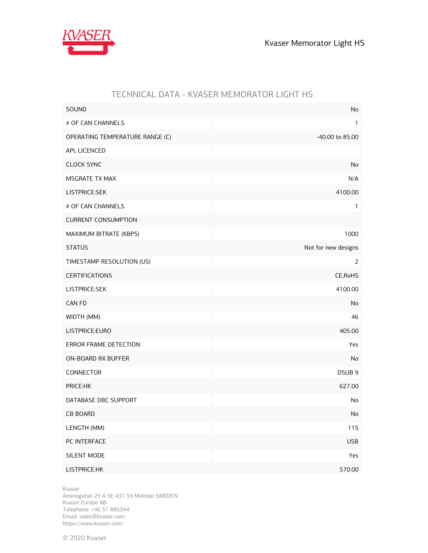

|                                 | <u> FECHINICAL DATA - INFAJEN MEMONATON LIUITI TIJ</u> |
|---------------------------------|--------------------------------------------------------|
| SOUND                           | No                                                     |
| # OF CAN CHANNELS               | $\mathbf{1}$                                           |
| OPERATING TEMPERATURE RANGE (C) | -40.00 to 85.00                                        |
| API, LICENCED                   |                                                        |
| <b>CLOCK SYNC</b>               | No                                                     |
| MSGRATE TX MAX                  | N/A                                                    |
| LISTPRICE:SEK                   | 4100.00                                                |
| # OF CAN CHANNELS               | 1                                                      |
| <b>CURRENT CONSUMPTION</b>      |                                                        |
| MAXIMUM BITRATE (KBPS)          | 1000                                                   |
| <b>STATUS</b>                   | Not for new designs                                    |
| TIMESTAMP RESOLUTION (US)       | 2                                                      |
| <b>CERTIFICATIONS</b>           | CE, RoHS                                               |
| LISTPRICE:SEK                   | 4100.00                                                |
| CAN FD                          | No                                                     |
| WIDTH (MM)                      | 46                                                     |
| LISTPRICE:EURO                  | 405.00                                                 |
| ERROR FRAME DETECTION           | Yes                                                    |
| ON-BOARD RX BUFFER              | No                                                     |
| CONNECTOR                       | DSUB <sub>9</sub>                                      |
| PRICE:HK                        | 627.00                                                 |
| DATABASE DBC SUPPORT            | No                                                     |
| <b>CB BOARD</b>                 | $\operatorname{\mathsf{No}}$                           |
| LENGTH (MM)                     | 115                                                    |
| PC INTERFACE                    | <b>USB</b>                                             |
| SILENT MODE                     | Yes                                                    |
| LISTPRICE:HK                    | 570.00                                                 |

### TECHNICAL DATA - KVASER MEMORATOR LIGHT HS

Kvaser

Aminogatan 25 A SE 431 53 Mölndal SWEDEN Kvaser Europe AB Telephone: +46 31 886344 Email: sales@kvaser.com https://www.kvaser.com/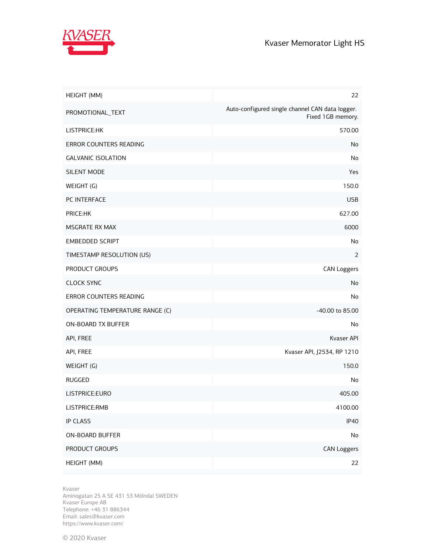

| HEIGHT (MM)                     | 22                                                                   |
|---------------------------------|----------------------------------------------------------------------|
| PROMOTIONAL_TEXT                | Auto-configured single channel CAN data logger.<br>Fixed 1GB memory. |
| LISTPRICE:HK                    | 570.00                                                               |
| ERROR COUNTERS READING          | No                                                                   |
| <b>GALVANIC ISOLATION</b>       | No                                                                   |
| SILENT MODE                     | Yes                                                                  |
| WEIGHT (G)                      | 150.0                                                                |
| PC INTERFACE                    | <b>USB</b>                                                           |
| PRICE:HK                        | 627.00                                                               |
| <b>MSGRATE RX MAX</b>           | 6000                                                                 |
| <b>EMBEDDED SCRIPT</b>          | No                                                                   |
| TIMESTAMP RESOLUTION (US)       | 2                                                                    |
| PRODUCT GROUPS                  | <b>CAN Loggers</b>                                                   |
| <b>CLOCK SYNC</b>               | No                                                                   |
| ERROR COUNTERS READING          | No                                                                   |
| OPERATING TEMPERATURE RANGE (C) | -40.00 to 85.00                                                      |
| ON-BOARD TX BUFFER              | No                                                                   |
| API, FREE                       | Kvaser API                                                           |
| API, FREE                       | Kvaser API, J2534, RP 1210                                           |
| WEIGHT (G)                      | 150.0                                                                |
| <b>RUGGED</b>                   | No                                                                   |
| LISTPRICE:EURO                  | 405.00                                                               |
| LISTPRICE:RMB                   | 4100.00                                                              |
| <b>IP CLASS</b>                 | <b>IP40</b>                                                          |
| ON-BOARD BUFFER                 | No                                                                   |
| PRODUCT GROUPS                  | <b>CAN Loggers</b>                                                   |
| HEIGHT (MM)                     | 22                                                                   |

Kvaser

Aminogatan 25 A SE 431 53 Mölndal SWEDEN Kvaser Europe AB Telephone: +46 31 886344 Email: sales@kvaser.com https://www.kvaser.com/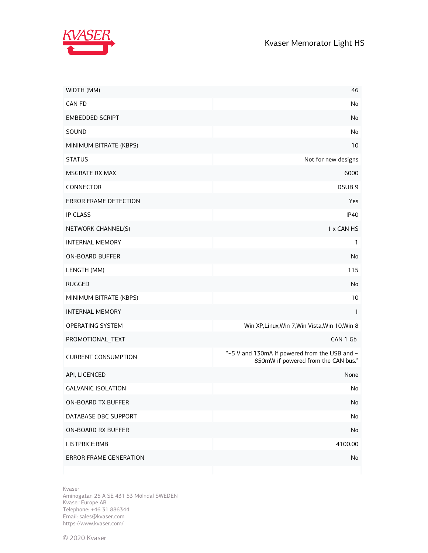



| WIDTH (MM)                    | 46                                                                                   |
|-------------------------------|--------------------------------------------------------------------------------------|
| CAN FD                        | No                                                                                   |
| <b>EMBEDDED SCRIPT</b>        | No                                                                                   |
| SOUND                         | No                                                                                   |
| MINIMUM BITRATE (KBPS)        | 10                                                                                   |
| <b>STATUS</b>                 | Not for new designs                                                                  |
| <b>MSGRATE RX MAX</b>         | 6000                                                                                 |
| CONNECTOR                     | DSUB <sub>9</sub>                                                                    |
| ERROR FRAME DETECTION         | Yes                                                                                  |
| <b>IP CLASS</b>               | <b>IP40</b>                                                                          |
| NETWORK CHANNEL(S)            | 1 x CAN HS                                                                           |
| <b>INTERNAL MEMORY</b>        | 1                                                                                    |
| <b>ON-BOARD BUFFER</b>        | No                                                                                   |
| LENGTH (MM)                   | 115                                                                                  |
| <b>RUGGED</b>                 | No                                                                                   |
| MINIMUM BITRATE (KBPS)        | 10                                                                                   |
| <b>INTERNAL MEMORY</b>        | 1                                                                                    |
| OPERATING SYSTEM              | Win XP, Linux, Win 7, Win Vista, Win 10, Win 8                                       |
| PROMOTIONAL_TEXT              | CAN 1 Gb                                                                             |
| <b>CURRENT CONSUMPTION</b>    | "~5 V and 130mA if powered from the USB and ~<br>850mW if powered from the CAN bus." |
| API, LICENCED                 | None                                                                                 |
| <b>GALVANIC ISOLATION</b>     | No                                                                                   |
| ON-BOARD TX BUFFER            | No                                                                                   |
| DATABASE DBC SUPPORT          | No                                                                                   |
| ON-BOARD RX BUFFER            | No                                                                                   |
| LISTPRICE:RMB                 | 4100.00                                                                              |
| <b>ERROR FRAME GENERATION</b> | No                                                                                   |

Kvaser

Aminogatan 25 A SE 431 53 Mölndal SWEDEN Kvaser Europe AB Telephone: +46 31 886344 Email: sales@kvaser.com https://www.kvaser.com/